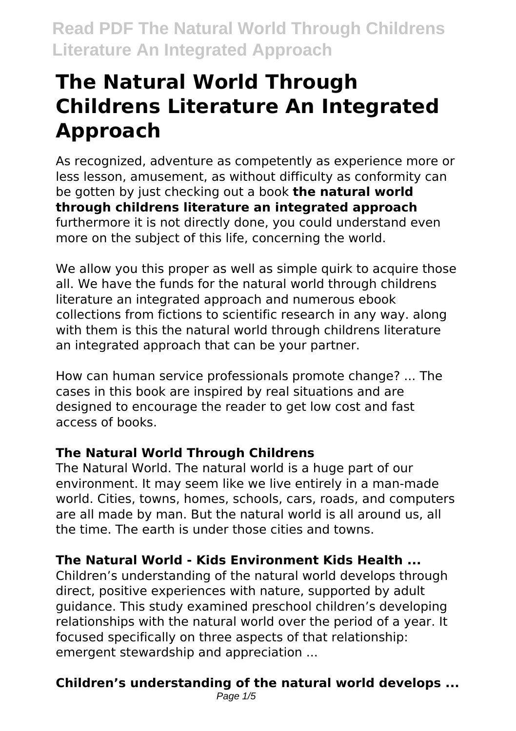As recognized, adventure as competently as experience more or less lesson, amusement, as without difficulty as conformity can be gotten by just checking out a book **the natural world through childrens literature an integrated approach** furthermore it is not directly done, you could understand even more on the subject of this life, concerning the world.

We allow you this proper as well as simple quirk to acquire those all. We have the funds for the natural world through childrens literature an integrated approach and numerous ebook collections from fictions to scientific research in any way. along with them is this the natural world through childrens literature an integrated approach that can be your partner.

How can human service professionals promote change? ... The cases in this book are inspired by real situations and are designed to encourage the reader to get low cost and fast access of books.

### **The Natural World Through Childrens**

The Natural World. The natural world is a huge part of our environment. It may seem like we live entirely in a man-made world. Cities, towns, homes, schools, cars, roads, and computers are all made by man. But the natural world is all around us, all the time. The earth is under those cities and towns.

### **The Natural World - Kids Environment Kids Health ...**

Children's understanding of the natural world develops through direct, positive experiences with nature, supported by adult guidance. This study examined preschool children's developing relationships with the natural world over the period of a year. It focused specifically on three aspects of that relationship: emergent stewardship and appreciation ...

### **Children's understanding of the natural world develops ...**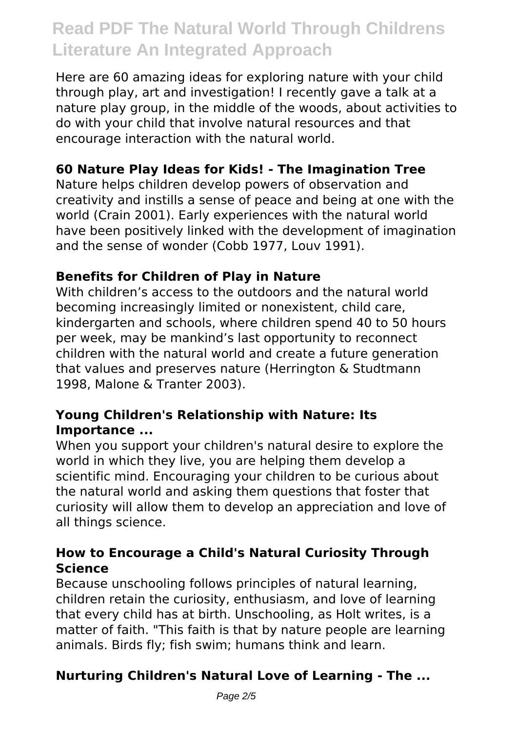Here are 60 amazing ideas for exploring nature with your child through play, art and investigation! I recently gave a talk at a nature play group, in the middle of the woods, about activities to do with your child that involve natural resources and that encourage interaction with the natural world.

#### **60 Nature Play Ideas for Kids! - The Imagination Tree**

Nature helps children develop powers of observation and creativity and instills a sense of peace and being at one with the world (Crain 2001). Early experiences with the natural world have been positively linked with the development of imagination and the sense of wonder (Cobb 1977, Louv 1991).

#### **Benefits for Children of Play in Nature**

With children's access to the outdoors and the natural world becoming increasingly limited or nonexistent, child care, kindergarten and schools, where children spend 40 to 50 hours per week, may be mankind's last opportunity to reconnect children with the natural world and create a future generation that values and preserves nature (Herrington & Studtmann 1998, Malone & Tranter 2003).

#### **Young Children's Relationship with Nature: Its Importance ...**

When you support your children's natural desire to explore the world in which they live, you are helping them develop a scientific mind. Encouraging your children to be curious about the natural world and asking them questions that foster that curiosity will allow them to develop an appreciation and love of all things science.

#### **How to Encourage a Child's Natural Curiosity Through Science**

Because unschooling follows principles of natural learning, children retain the curiosity, enthusiasm, and love of learning that every child has at birth. Unschooling, as Holt writes, is a matter of faith. "This faith is that by nature people are learning animals. Birds fly; fish swim; humans think and learn.

#### **Nurturing Children's Natural Love of Learning - The ...**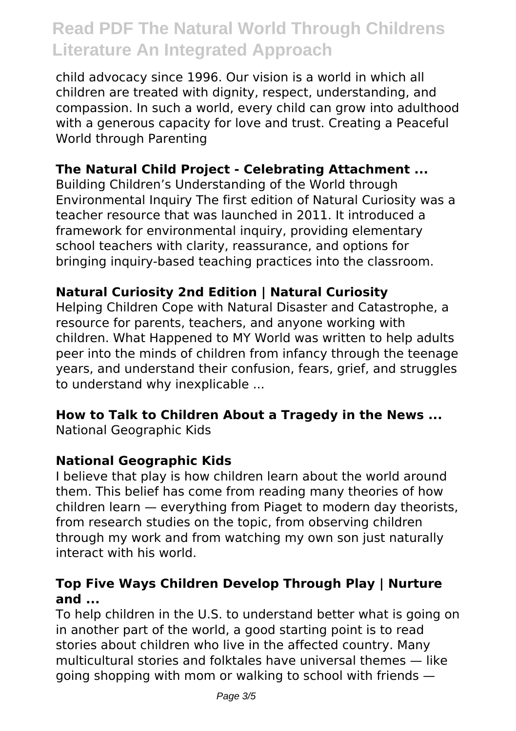child advocacy since 1996. Our vision is a world in which all children are treated with dignity, respect, understanding, and compassion. In such a world, every child can grow into adulthood with a generous capacity for love and trust. Creating a Peaceful World through Parenting

#### **The Natural Child Project - Celebrating Attachment ...**

Building Children's Understanding of the World through Environmental Inquiry The first edition of Natural Curiosity was a teacher resource that was launched in 2011. It introduced a framework for environmental inquiry, providing elementary school teachers with clarity, reassurance, and options for bringing inquiry-based teaching practices into the classroom.

#### **Natural Curiosity 2nd Edition | Natural Curiosity**

Helping Children Cope with Natural Disaster and Catastrophe, a resource for parents, teachers, and anyone working with children. What Happened to MY World was written to help adults peer into the minds of children from infancy through the teenage years, and understand their confusion, fears, grief, and struggles to understand why inexplicable ...

#### **How to Talk to Children About a Tragedy in the News ...**

National Geographic Kids

#### **National Geographic Kids**

I believe that play is how children learn about the world around them. This belief has come from reading many theories of how children learn — everything from Piaget to modern day theorists, from research studies on the topic, from observing children through my work and from watching my own son just naturally interact with his world.

#### **Top Five Ways Children Develop Through Play | Nurture and ...**

To help children in the U.S. to understand better what is going on in another part of the world, a good starting point is to read stories about children who live in the affected country. Many multicultural stories and folktales have universal themes — like going shopping with mom or walking to school with friends —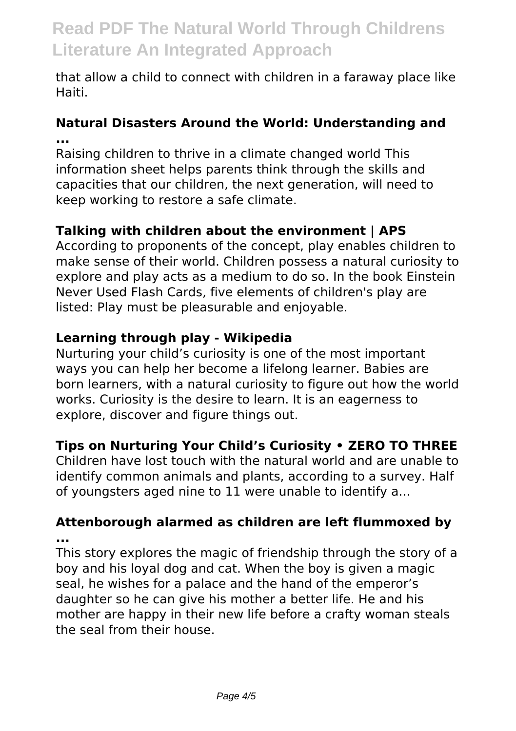that allow a child to connect with children in a faraway place like Haiti.

#### **Natural Disasters Around the World: Understanding and ...**

Raising children to thrive in a climate changed world This information sheet helps parents think through the skills and capacities that our children, the next generation, will need to keep working to restore a safe climate.

#### **Talking with children about the environment | APS**

According to proponents of the concept, play enables children to make sense of their world. Children possess a natural curiosity to explore and play acts as a medium to do so. In the book Einstein Never Used Flash Cards, five elements of children's play are listed: Play must be pleasurable and enjoyable.

#### **Learning through play - Wikipedia**

Nurturing your child's curiosity is one of the most important ways you can help her become a lifelong learner. Babies are born learners, with a natural curiosity to figure out how the world works. Curiosity is the desire to learn. It is an eagerness to explore, discover and figure things out.

#### **Tips on Nurturing Your Child's Curiosity • ZERO TO THREE**

Children have lost touch with the natural world and are unable to identify common animals and plants, according to a survey. Half of youngsters aged nine to 11 were unable to identify a...

#### **Attenborough alarmed as children are left flummoxed by ...**

This story explores the magic of friendship through the story of a boy and his loyal dog and cat. When the boy is given a magic seal, he wishes for a palace and the hand of the emperor's daughter so he can give his mother a better life. He and his mother are happy in their new life before a crafty woman steals the seal from their house.